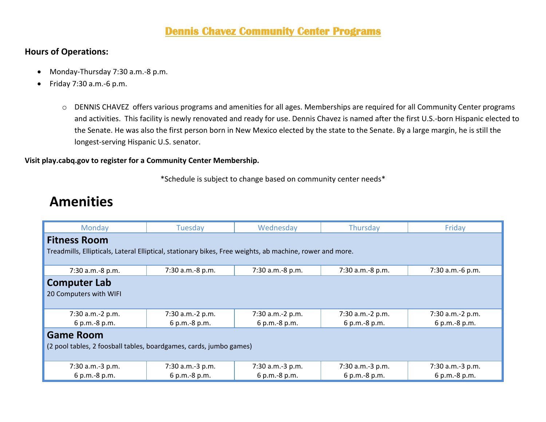#### **Dennis Chavez Community Center Programs**

#### **Hours of Operations:**

- Monday-Thursday 7:30 a.m.-8 p.m.
- Friday 7:30 a.m.-6 p.m.
	- o DENNIS CHAVEZ offers various programs and amenities for all ages. Memberships are required for all Community Center programs and activities. This facility is newly renovated and ready for use. Dennis Chavez is named after the first U.S.-born Hispanic elected to the Senate. He was also the first person born in New Mexico elected by the state to the Senate. By a large margin, he is still the longest-serving Hispanic U.S. senator.

#### **Visit play.cabq.gov to register for a Community Center Membership.**

\*Schedule is subject to change based on community center needs\*

### **Amenities**

| Monday                                                                                                   | Tuesday          | Wednesday        | Thursday         | Friday           |  |  |
|----------------------------------------------------------------------------------------------------------|------------------|------------------|------------------|------------------|--|--|
| <b>Fitness Room</b>                                                                                      |                  |                  |                  |                  |  |  |
| Treadmills, Ellipticals, Lateral Elliptical, stationary bikes, Free weights, ab machine, rower and more. |                  |                  |                  |                  |  |  |
|                                                                                                          |                  |                  |                  |                  |  |  |
| 7:30 a.m.-8 p.m.                                                                                         | 7:30 a.m.-8 p.m. | 7:30 a.m.-8 p.m. | 7:30 a.m.-8 p.m. | 7:30 a.m.-6 p.m. |  |  |
| <b>Computer Lab</b>                                                                                      |                  |                  |                  |                  |  |  |
| 20 Computers with WIFI                                                                                   |                  |                  |                  |                  |  |  |
|                                                                                                          |                  |                  |                  |                  |  |  |
| 7:30 a.m.-2 p.m.                                                                                         | 7:30 a.m.-2 p.m. | 7:30 a.m.-2 p.m. | 7:30 a.m.-2 p.m. | 7:30 a.m.-2 p.m. |  |  |
| 6 p.m.-8 p.m.                                                                                            | 6 p.m.-8 p.m.    | 6 p.m.-8 p.m.    | 6 p.m.-8 p.m.    | 6 p.m.-8 p.m.    |  |  |
| <b>Game Room</b>                                                                                         |                  |                  |                  |                  |  |  |
| (2 pool tables, 2 foosball tables, boardgames, cards, jumbo games)                                       |                  |                  |                  |                  |  |  |
|                                                                                                          |                  |                  |                  |                  |  |  |
| 7:30 a.m.-3 p.m.                                                                                         | 7:30 a.m.-3 p.m. | 7:30 a.m.-3 p.m. | 7:30 a.m.-3 p.m. | 7:30 a.m.-3 p.m. |  |  |
| 6 p.m.-8 p.m.                                                                                            | 6 p.m.-8 p.m.    | 6 p.m.-8 p.m.    | 6 p.m.-8 p.m.    | 6 p.m.-8 p.m.    |  |  |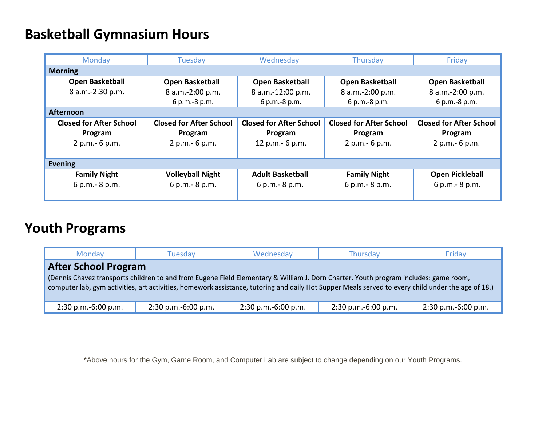## **Basketball Gymnasium Hours**

| Monday                         | Tuesday                        | Wednesday                      | Thursday                       | Friday                         |  |
|--------------------------------|--------------------------------|--------------------------------|--------------------------------|--------------------------------|--|
| <b>Morning</b>                 |                                |                                |                                |                                |  |
| <b>Open Basketball</b>         | <b>Open Basketball</b>         | <b>Open Basketball</b>         | <b>Open Basketball</b>         | <b>Open Basketball</b>         |  |
| 8 a.m.-2:30 p.m.               | 8 a.m.-2:00 p.m.               | 8 a.m.-12:00 p.m.              | 8 a.m.-2:00 p.m.               | 8 a.m.-2:00 p.m.               |  |
|                                | 6 p.m.-8 p.m.                  | 6 p.m.-8 p.m.                  | 6 p.m.-8 p.m.                  | 6 p.m.-8 p.m.                  |  |
| <b>Afternoon</b>               |                                |                                |                                |                                |  |
| <b>Closed for After School</b> | <b>Closed for After School</b> | <b>Closed for After School</b> | <b>Closed for After School</b> | <b>Closed for After School</b> |  |
| Program                        | Program                        | Program                        | Program                        | Program                        |  |
| 2 p.m. - 6 p.m.                | 2 p.m. - 6 p.m.                | 12 p.m. - 6 p.m.               | 2 p.m. - 6 p.m.                | 2 p.m. - 6 p.m.                |  |
|                                |                                |                                |                                |                                |  |
| <b>Evening</b>                 |                                |                                |                                |                                |  |
| <b>Family Night</b>            | <b>Volleyball Night</b>        | <b>Adult Basketball</b>        | <b>Family Night</b>            | <b>Open Pickleball</b>         |  |
| 6 p.m. - 8 p.m.                | 6 p.m. - 8 p.m.                | 6 p.m. - 8 p.m.                | 6 p.m. - 8 p.m.                | 6 p.m. - 8 p.m.                |  |
|                                |                                |                                |                                |                                |  |

# **Youth Programs**

| <b>Monday</b>                                                                                                                                                                                                                                                                                                             | Tuesdav               | Wednesday             | Thursday              | Fridav                |  |  |
|---------------------------------------------------------------------------------------------------------------------------------------------------------------------------------------------------------------------------------------------------------------------------------------------------------------------------|-----------------------|-----------------------|-----------------------|-----------------------|--|--|
| <b>After School Program</b><br>(Dennis Chavez transports children to and from Eugene Field Elementary & William J. Dorn Charter. Youth program includes: game room,<br>computer lab, gym activities, art activities, homework assistance, tutoring and daily Hot Supper Meals served to every child under the age of 18.) |                       |                       |                       |                       |  |  |
| $2:30$ p.m.-6:00 p.m.                                                                                                                                                                                                                                                                                                     | $2:30$ p.m.-6:00 p.m. | $2:30$ p.m.-6:00 p.m. | $2:30$ p.m.-6:00 p.m. | $2:30$ p.m.-6:00 p.m. |  |  |

\*Above hours for the Gym, Game Room, and Computer Lab are subject to change depending on our Youth Programs.